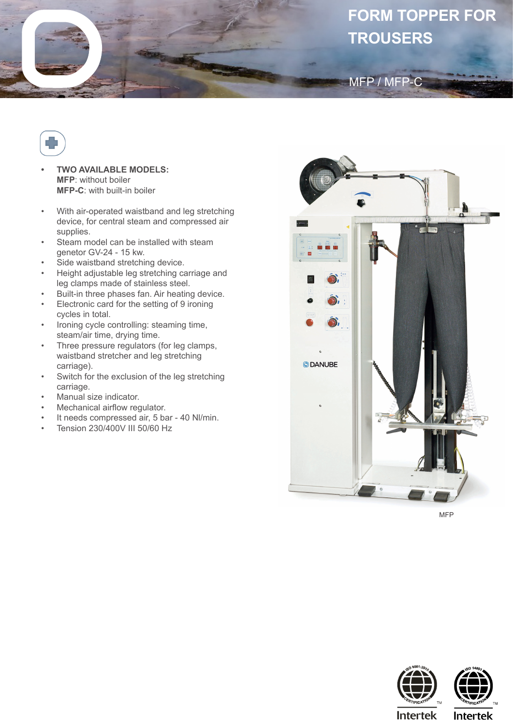## **FORM TOPPER FOR TROUSERS**

MFP / MFP-C



- **• TWO AVAILABLE MODELS: MFP**: without boiler **MFP-C**: with built-in boiler
- With air-operated waistband and leg stretching device, for central steam and compressed air supplies.
- Steam model can be installed with steam genetor GV-24 - 15 kw.
- Side waistband stretching device.
- Height adjustable leg stretching carriage and leg clamps made of stainless steel.
- Built-in three phases fan. Air heating device.
- Electronic card for the setting of 9 ironing cycles in total.
- Ironing cycle controlling: steaming time, steam/air time, drying time.
- Three pressure regulators (for leg clamps, waistband stretcher and leg stretching carriage).
- Switch for the exclusion of the leg stretching carriage.
- Manual size indicator.
- Mechanical airflow regulator.
- It needs compressed air, 5 bar 40 NI/min.
- Tension 230/400V III 50/60 Hz



MFP